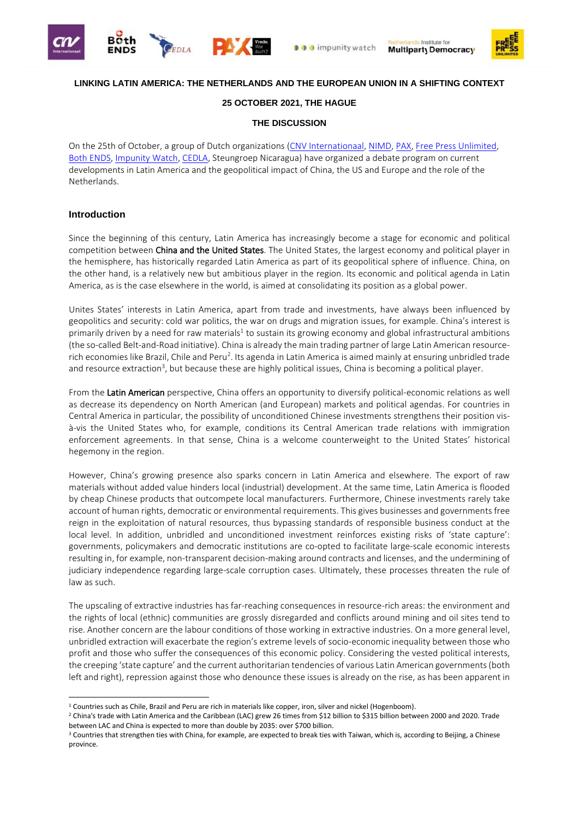







### **LINKING LATIN AMERICA: THE NETHERLANDS AND THE EUROPEAN UNION IN A SHIFTING CONTEXT**

#### **25 OCTOBER 2021, THE HAGUE**

#### **THE DISCUSSION**

On the 25th of October, a group of Dutch organizations [\(CNV Internationaal,](https://www.cnvinternationaal.nl/) [NIMD,](https://nimd.org/) [PAX,](https://paxvoorvrede.nl/) [Free Press Unlimited,](https://www.freepressunlimited.org/nl) [Both ENDS,](https://www.bothends.org/nl/) [Impunity Watch,](https://www.impunitywatch.org/) [CEDLA,](https://www.cedla.nl/) Steungroep Nicaragua) have organized a debate program on current developments in Latin America and the geopolitical impact of China, the US and Europe and the role of the Netherlands.

#### **Introduction**

1

Since the beginning of this century, Latin America has increasingly become a stage for economic and political competition between China and the United States. The United States, the largest economy and political player in the hemisphere, has historically regarded Latin America as part of its geopolitical sphere of influence. China, on the other hand, is a relatively new but ambitious player in the region. Its economic and political agenda in Latin America, as is the case elsewhere in the world, is aimed at consolidating its position as a global power.

Unites States' interests in Latin America, apart from trade and investments, have always been influenced by geopolitics and security: cold war politics, the war on drugs and migration issues, for example. China's interest is primarily driven by a need for raw materials<sup>1</sup> to sustain its growing economy and global infrastructural ambitions (the so-called Belt-and-Road initiative). China is already the main trading partner of large Latin American resourcerich economies like Brazil, Chile and Peru<sup>2</sup>. Its agenda in Latin America is aimed mainly at ensuring unbridled trade and resource extraction<sup>3</sup>, but because these are highly political issues, China is becoming a political player.

From the Latin American perspective, China offers an opportunity to diversify political-economic relations as well as decrease its dependency on North American (and European) markets and political agendas. For countries in Central America in particular, the possibility of unconditioned Chinese investments strengthens their position visà-vis the United States who, for example, conditions its Central American trade relations with immigration enforcement agreements. In that sense, China is a welcome counterweight to the United States' historical hegemony in the region.

However, China's growing presence also sparks concern in Latin America and elsewhere. The export of raw materials without added value hinders local (industrial) development. At the same time, Latin America is flooded by cheap Chinese products that outcompete local manufacturers. Furthermore, Chinese investments rarely take account of human rights, democratic or environmental requirements. This gives businesses and governments free reign in the exploitation of natural resources, thus bypassing standards of responsible business conduct at the local level. In addition, unbridled and unconditioned investment reinforces existing risks of 'state capture': governments, policymakers and democratic institutions are co-opted to facilitate large-scale economic interests resulting in, for example, non-transparent decision-making around contracts and licenses, and the undermining of judiciary independence regarding large-scale corruption cases. Ultimately, these processes threaten the rule of law as such.

The upscaling of extractive industries has far-reaching consequences in resource-rich areas: the environment and the rights of local (ethnic) communities are grossly disregarded and conflicts around mining and oil sites tend to rise. Another concern are the labour conditions of those working in extractive industries. On a more general level, unbridled extraction will exacerbate the region's extreme levels of socio-economic inequality between those who profit and those who suffer the consequences of this economic policy. Considering the vested political interests, the creeping 'state capture' and the current authoritarian tendencies of various Latin American governments (both left and right), repression against those who denounce these issues is already on the rise, as has been apparent in

<sup>&</sup>lt;sup>1</sup> Countries such as Chile, Brazil and Peru are rich in materials like copper, iron, silver and nickel (Hogenboom).

<sup>2</sup> China's trade with Latin America and the Caribbean (LAC) grew 26 times from \$12 billion to \$315 billion between 2000 and 2020. Trade between LAC and China is expected to more than double by 2035: over \$700 billion.

<sup>&</sup>lt;sup>3</sup> Countries that strengthen ties with China, for example, are expected to break ties with Taiwan, which is, according to Beijing, a Chinese province.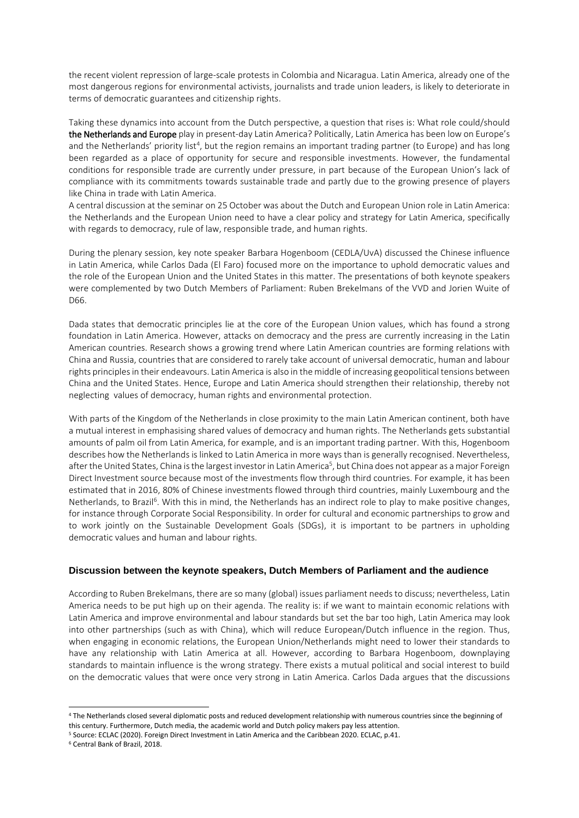the recent violent repression of large-scale protests in Colombia and Nicaragua. Latin America, already one of the most dangerous regions for environmental activists, journalists and trade union leaders, is likely to deteriorate in terms of democratic guarantees and citizenship rights.

Taking these dynamics into account from the Dutch perspective, a question that rises is: What role could/should the Netherlands and Europe play in present-day Latin America? Politically, Latin America has been low on Europe's and the Netherlands' priority list<sup>4</sup>, but the region remains an important trading partner (to Europe) and has long been regarded as a place of opportunity for secure and responsible investments. However, the fundamental conditions for responsible trade are currently under pressure, in part because of the European Union's lack of compliance with its commitments towards sustainable trade and partly due to the growing presence of players like China in trade with Latin America.

A central discussion at the seminar on 25 October was about the Dutch and European Union role in Latin America: the Netherlands and the European Union need to have a clear policy and strategy for Latin America, specifically with regards to democracy, rule of law, responsible trade, and human rights.

During the plenary session, key note speaker Barbara Hogenboom (CEDLA/UvA) discussed the Chinese influence in Latin America, while Carlos Dada (El Faro) focused more on the importance to uphold democratic values and the role of the European Union and the United States in this matter. The presentations of both keynote speakers were complemented by two Dutch Members of Parliament: Ruben Brekelmans of the VVD and Jorien Wuite of D66.

Dada states that democratic principles lie at the core of the European Union values, which has found a strong foundation in Latin America. However, attacks on democracy and the press are currently increasing in the Latin American countries. Research shows a growing trend where Latin American countries are forming relations with China and Russia, countries that are considered to rarely take account of universal democratic, human and labour rights principles in their endeavours. Latin America is also in the middle of increasing geopolitical tensions between China and the United States. Hence, Europe and Latin America should strengthen their relationship, thereby not neglecting values of democracy, human rights and environmental protection.

With parts of the Kingdom of the Netherlands in close proximity to the main Latin American continent, both have a mutual interest in emphasising shared values of democracy and human rights. The Netherlands gets substantial amounts of palm oil from Latin America, for example, and is an important trading partner. With this, Hogenboom describes how the Netherlands is linked to Latin America in more ways than is generally recognised. Nevertheless, after the United States, China is the largest investor in Latin America<sup>5</sup>, but China does not appear as a major Foreign Direct Investment source because most of the investments flow through third countries. For example, it has been estimated that in 2016, 80% of Chinese investments flowed through third countries, mainly Luxembourg and the Netherlands, to Brazil<sup>6</sup>. With this in mind, the Netherlands has an indirect role to play to make positive changes, for instance through Corporate Social Responsibility. In order for cultural and economic partnerships to grow and to work jointly on the Sustainable Development Goals (SDGs), it is important to be partners in upholding democratic values and human and labour rights.

#### **Discussion between the keynote speakers, Dutch Members of Parliament and the audience**

According to Ruben Brekelmans, there are so many (global) issues parliament needs to discuss; nevertheless, Latin America needs to be put high up on their agenda. The reality is: if we want to maintain economic relations with Latin America and improve environmental and labour standards but set the bar too high, Latin America may look into other partnerships (such as with China), which will reduce European/Dutch influence in the region. Thus, when engaging in economic relations, the European Union/Netherlands might need to lower their standards to have any relationship with Latin America at all. However, according to Barbara Hogenboom, downplaying standards to maintain influence is the wrong strategy. There exists a mutual political and social interest to build on the democratic values that were once very strong in Latin America. Carlos Dada argues that the discussions

-

<sup>4</sup> The Netherlands closed several diplomatic posts and reduced development relationship with numerous countries since the beginning of this century. Furthermore, Dutch media, the academic world and Dutch policy makers pay less attention.

<sup>5</sup> Source: [ECLAC \(2020\).](https://repositorio.cepal.org/bitstream/handle/11362/46541/1/S2000594_en.pdf) Foreign Direct Investment in Latin America and the Caribbean 2020. ECLAC, p.41.

<sup>6</sup> Central Bank of Brazil, 2018.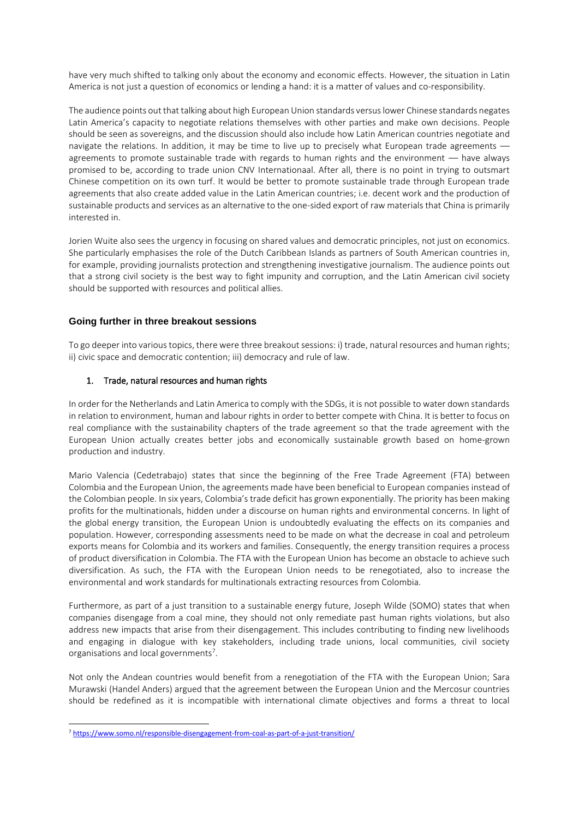have very much shifted to talking only about the economy and economic effects. However, the situation in Latin America is not just a question of economics or lending a hand: it is a matter of values and co-responsibility.

The audience points out that talking about high European Union standards versus lower Chinese standards negates Latin America's capacity to negotiate relations themselves with other parties and make own decisions. People should be seen as sovereigns, and the discussion should also include how Latin American countries negotiate and navigate the relations. In addition, it may be time to live up to precisely what European trade agreements – agreements to promote sustainable trade with regards to human rights and the environment –– have always promised to be, according to trade union CNV Internationaal. After all, there is no point in trying to outsmart Chinese competition on its own turf. It would be better to promote sustainable trade through European trade agreements that also create added value in the Latin American countries; i.e. decent work and the production of sustainable products and services as an alternative to the one-sided export of raw materials that China is primarily interested in.

Jorien Wuite also sees the urgency in focusing on shared values and democratic principles, not just on economics. She particularly emphasises the role of the Dutch Caribbean Islands as partners of South American countries in, for example, providing journalists protection and strengthening investigative journalism. The audience points out that a strong civil society is the best way to fight impunity and corruption, and the Latin American civil society should be supported with resources and political allies.

## **Going further in three breakout sessions**

To go deeper into various topics, there were three breakout sessions: i) trade, natural resources and human rights; ii) civic space and democratic contention; iii) democracy and rule of law.

#### 1. Trade, natural resources and human rights

In order for the Netherlands and Latin America to comply with the SDGs, it is not possible to water down standards in relation to environment, human and labour rights in order to better compete with China. It is better to focus on real compliance with the sustainability chapters of the trade agreement so that the trade agreement with the European Union actually creates better jobs and economically sustainable growth based on home-grown production and industry.

Mario Valencia (Cedetrabajo) states that since the beginning of the Free Trade Agreement (FTA) between Colombia and the European Union, the agreements made have been beneficial to European companies instead of the Colombian people. In six years, Colombia's trade deficit has grown exponentially. The priority has been making profits for the multinationals, hidden under a discourse on human rights and environmental concerns. In light of the global energy transition, the European Union is undoubtedly evaluating the effects on its companies and population. However, corresponding assessments need to be made on what the decrease in coal and petroleum exports means for Colombia and its workers and families. Consequently, the energy transition requires a process of product diversification in Colombia. The FTA with the European Union has become an obstacle to achieve such diversification. As such, the FTA with the European Union needs to be renegotiated, also to increase the environmental and work standards for multinationals extracting resources from Colombia.

Furthermore, as part of a just transition to a sustainable energy future, Joseph Wilde (SOMO) states that when companies disengage from a coal mine, they should not only remediate past human rights violations, but also address new impacts that arise from their disengagement. This includes contributing to finding new livelihoods and engaging in dialogue with key stakeholders, including trade unions, local communities, civil society organisations and local governments<sup>7</sup>.

Not only the Andean countries would benefit from a renegotiation of the FTA with the European Union; Sara Murawski (Handel Anders) argued that the agreement between the European Union and the Mercosur countries should be redefined as it is incompatible with international climate objectives and forms a threat to local

<sup>1</sup> <sup>7</sup> <https://www.somo.nl/responsible-disengagement-from-coal-as-part-of-a-just-transition/>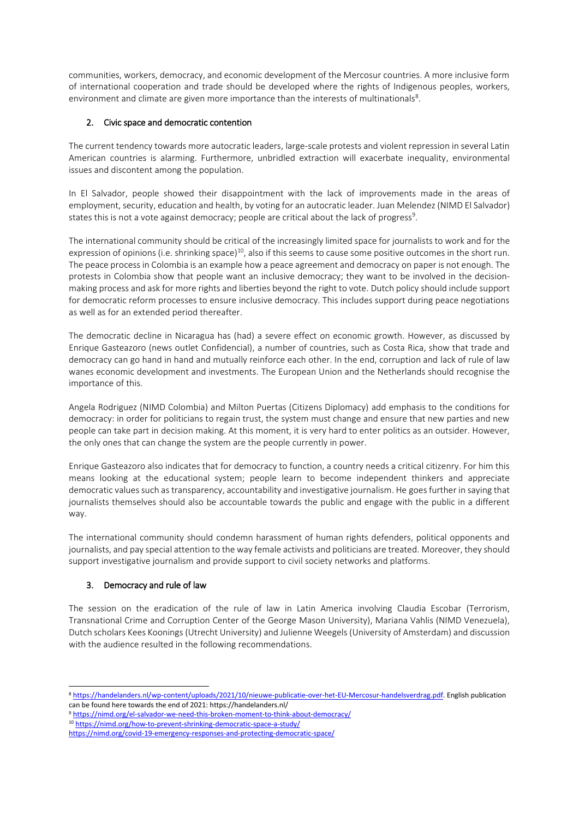communities, workers, democracy, and economic development of the Mercosur countries. A more inclusive form of international cooperation and trade should be developed where the rights of Indigenous peoples, workers, environment and climate are given more importance than the interests of multinationals<sup>8</sup>.

## 2. Civic space and democratic contention

The current tendency towards more autocratic leaders, large-scale protests and violent repression in several Latin American countries is alarming. Furthermore, unbridled extraction will exacerbate inequality, environmental issues and discontent among the population.

In El Salvador, people showed their disappointment with the lack of improvements made in the areas of employment, security, education and health, by voting for an autocratic leader. Juan Melendez (NIMD El Salvador) states this is not a vote against democracy; people are critical about the lack of progress<sup>9</sup>.

The international community should be critical of the increasingly limited space for journalists to work and for the expression of opinions (i.e. shrinking space)<sup>10</sup>, also if this seems to cause some positive outcomes in the short run. The peace process in Colombia is an example how a peace agreement and democracy on paper is not enough. The protests in Colombia show that people want an inclusive democracy; they want to be involved in the decisionmaking process and ask for more rights and liberties beyond the right to vote. Dutch policy should include support for democratic reform processes to ensure inclusive democracy. This includes support during peace negotiations as well as for an extended period thereafter.

The democratic decline in Nicaragua has (had) a severe effect on economic growth. However, as discussed by Enrique Gasteazoro (news outlet Confidencial), a number of countries, such as Costa Rica, show that trade and democracy can go hand in hand and mutually reinforce each other. In the end, corruption and lack of rule of law wanes economic development and investments. The European Union and the Netherlands should recognise the importance of this.

Angela Rodriguez (NIMD Colombia) and Milton Puertas (Citizens Diplomacy) add emphasis to the conditions for democracy: in order for politicians to regain trust, the system must change and ensure that new parties and new people can take part in decision making. At this moment, it is very hard to enter politics as an outsider. However, the only ones that can change the system are the people currently in power.

Enrique Gasteazoro also indicates that for democracy to function, a country needs a critical citizenry. For him this means looking at the educational system; people learn to become independent thinkers and appreciate democratic values such as transparency, accountability and investigative journalism. He goes further in saying that journalists themselves should also be accountable towards the public and engage with the public in a different way.

The international community should condemn harassment of human rights defenders, political opponents and journalists, and pay special attention to the way female activists and politicians are treated. Moreover, they should support investigative journalism and provide support to civil society networks and platforms.

# 3. Democracy and rule of law

1

The session on the eradication of the rule of law in Latin America involving Claudia Escobar (Terrorism, Transnational Crime and Corruption Center of the George Mason University), Mariana Vahlis (NIMD Venezuela), Dutch scholars Kees Koonings (Utrecht University) and Julienne Weegels (University of Amsterdam) and discussion with the audience resulted in the following recommendations.

<sup>10</sup> [https://nimd.org/how-to-prevent-shrinking-democratic-space-a-study/](https://eur02.safelinks.protection.outlook.com/?url=https%3A%2F%2Fnimd.org%2Fhow-to-prevent-shrinking-democratic-space-a-study%2F&data=04%7C01%7Cl.dirks%40cnv.nl%7C2ed22457dbb445bae90108d9b3d344c3%7C680376d9480f47f6b8af746f69254f03%7C0%7C0%7C637738542245664745%7CUnknown%7CTWFpbGZsb3d8eyJWIjoiMC4wLjAwMDAiLCJQIjoiV2luMzIiLCJBTiI6Ik1haWwiLCJXVCI6Mn0%3D%7C3000&sdata=bVQ8Lb4Gl9gLdeE6XyDNla26RodONTu548X4R3nZAcM%3D&reserved=0)

<sup>8</sup> [https://handelanders.nl/wp-content/uploads/2021/10/nieuwe-publicatie-over-het-EU-Mercosur-handelsverdrag.pdf.](https://eur02.safelinks.protection.outlook.com/?url=https%3A%2F%2Fhandelanders.nl%2Fwp-content%2Fuploads%2F2021%2F10%2Fnieuwe-publicatie-over-het-EU-Mercosur-handelsverdrag.pdf&data=04%7C01%7Cl.dirks%40cnv.nl%7C2645dd6d9dd94548e25808d9b0c870fd%7C680376d9480f47f6b8af746f69254f03%7C0%7C1%7C637735197213487175%7CUnknown%7CTWFpbGZsb3d8eyJWIjoiMC4wLjAwMDAiLCJQIjoiV2luMzIiLCJBTiI6Ik1haWwiLCJXVCI6Mn0%3D%7C3000&sdata=CoqSbifV0p1B9dLkAxt3wAKD4I6%2FaLZ6sjzpmj%2FxujA%3D&reserved=0) English publication can be found here towards the end of 2021: https://handelanders.nl/

<sup>9</sup> [https://nimd.org/el-salvador-we-need-this-broken-moment-to-think-about-democracy/](https://eur02.safelinks.protection.outlook.com/?url=https%3A%2F%2Fnimd.org%2Fel-salvador-we-need-this-broken-moment-to-think-about-democracy%2F&data=04%7C01%7Cl.dirks%40cnv.nl%7C2ed22457dbb445bae90108d9b3d344c3%7C680376d9480f47f6b8af746f69254f03%7C0%7C0%7C637738542245654753%7CUnknown%7CTWFpbGZsb3d8eyJWIjoiMC4wLjAwMDAiLCJQIjoiV2luMzIiLCJBTiI6Ik1haWwiLCJXVCI6Mn0%3D%7C3000&sdata=Go4h0bTQ9THkwUoY8oJ%2FfQPmi0oHNYouo93kDJquTNc%3D&reserved=0)

[https://nimd.org/covid-19-emergency-responses-and-protecting-democratic-space/](https://eur02.safelinks.protection.outlook.com/?url=https%3A%2F%2Fnimd.org%2Fcovid-19-emergency-responses-and-protecting-democratic-space%2F&data=04%7C01%7Cl.dirks%40cnv.nl%7C2ed22457dbb445bae90108d9b3d344c3%7C680376d9480f47f6b8af746f69254f03%7C0%7C0%7C637738542245674746%7CUnknown%7CTWFpbGZsb3d8eyJWIjoiMC4wLjAwMDAiLCJQIjoiV2luMzIiLCJBTiI6Ik1haWwiLCJXVCI6Mn0%3D%7C3000&sdata=ZfIyeVlwCm8vUbPQXhTqimI1iODYGgxopLSKsGI5NSM%3D&reserved=0)